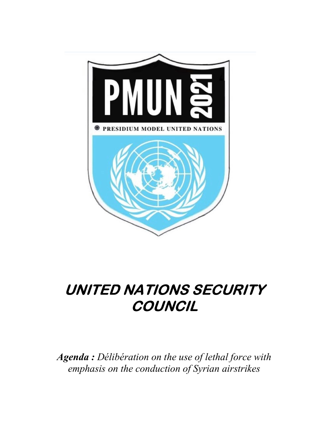

# UNITED NATIONS SECURITY **COUNCIL**

Agenda : Délibération on the use of lethal force with emphasis on the conduction of Syrian airstrikes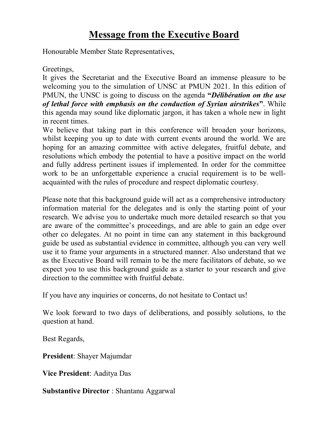# Message from the Executive Board

Honourable Member State Representatives,

### Greetings,

It gives the Secretariat and the Executive Board an immense pleasure to be welcoming you to the simulation of UNSC at PMUN 2021. In this edition of PMUN, the UNSC is going to discuss on the agenda "*Délibération on the use* of lethal force with emphasis on the conduction of Syrian airstrikes". While this agenda may sound like diplomatic jargon, it has taken a whole new in light in recent times.

We believe that taking part in this conference will broaden your horizons, whilst keeping you up to date with current events around the world. We are hoping for an amazing committee with active delegates, fruitful debate, and resolutions which embody the potential to have a positive impact on the world and fully address pertinent issues if implemented. In order for the committee work to be an unforgettable experience a crucial requirement is to be wellacquainted with the rules of procedure and respect diplomatic courtesy.

Please note that this background guide will act as a comprehensive introductory information material for the delegates and is only the starting point of your research. We advise you to undertake much more detailed research so that you are aware of the committee's proceedings, and are able to gain an edge over other co delegates. At no point in time can any statement in this background guide be used as substantial evidence in committee, although you can very well use it to frame your arguments in a structured manner. Also understand that we as the Executive Board will remain to be the mere facilitators of debate, so we expect you to use this background guide as a starter to your research and give direction to the committee with fruitful debate.

If you have any inquiries or concerns, do not hesitate to Contact us!

We look forward to two days of deliberations, and possibly solutions, to the question at hand.

Best Regards,

President: Shayer Majumdar

Vice President: Aaditya Das

Substantive Director : Shantanu Aggarwal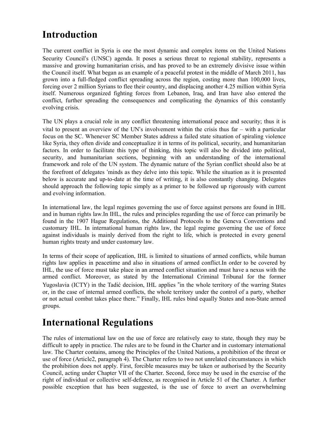## Introduction

The current conflict in Syria is one the most dynamic and complex items on the United Nations Security Council's (UNSC) agenda. It poses a serious threat to regional stability, represents a massive and growing humanitarian crisis, and has proved to be an extremely divisive issue within the Council itself. What began as an example of a peaceful protest in the middle of March 2011, has grown into a full-fledged conflict spreading across the region, costing more than 100,000 lives, forcing over 2 million Syrians to flee their country, and displacing another 4.25 million within Syria itself. Numerous organized fighting forces from Lebanon, Iraq, and Iran have also entered the conflict, further spreading the consequences and complicating the dynamics of this constantly evolving crisis.

The UN plays a crucial role in any conflict threatening international peace and security; thus it is vital to present an overview of the UN's involvement within the crisis thus far – with a particular focus on the SC. Whenever SC Member States address a failed state situation of spiraling violence like Syria, they often divide and conceptualize it in terms of its political, security, and humanitarian factors. In order to facilitate this type of thinking, this topic will also be divided into political, security, and humanitarian sections, beginning with an understanding of the international framework and role of the UN system. The dynamic nature of the Syrian conflict should also be at the forefront of delegates 'minds as they delve into this topic. While the situation as it is presented below is accurate and up-to-date at the time of writing, it is also constantly changing. Delegates should approach the following topic simply as a primer to be followed up rigorously with current and evolving information.

In international law, the legal regimes governing the use of force against persons are found in IHL and in human rights law.In IHL, the rules and principles regarding the use of force can primarily be found in the 1907 Hague Regulations, the Additional Protocols to the Geneva Conventions and customary IHL. In international human rights law, the legal regime governing the use of force against individuals is mainly derived from the right to life, which is protected in every general human rights treaty and under customary law.

In terms of their scope of application, IHL is limited to situations of armed conflicts, while human rights law applies in peacetime and also in situations of armed conflict.In order to be covered by IHL, the use of force must take place in an armed conflict situation and must have a nexus with the armed conflict. Moreover, as stated by the International Criminal Tribunal for the former Yugoslavia (ICTY) in the Tadić decision, IHL applies "in the whole territory of the warring States or, in the case of internal armed conflicts, the whole territory under the control of a party, whether or not actual combat takes place there." Finally, IHL rules bind equally States and non-State armed groups.

## International Regulations

The rules of international law on the use of force are relatively easy to state, though they may be difficult to apply in practice. The rules are to be found in the Charter and in customary international law. The Charter contains, among the Principles of the United Nations, a prohibition of the threat or use of force (Article2, paragraph 4). The Charter refers to two not unrelated circumstances in which the prohibition does not apply. First, forcible measures may be taken or authorised by the Security Council, acting under Chapter VII of the Charter. Second, force may be used in the exercise of the right of individual or collective self-defence, as recognised in Article 51 of the Charter. A further possible exception that has been suggested, is the use of force to avert an overwhelming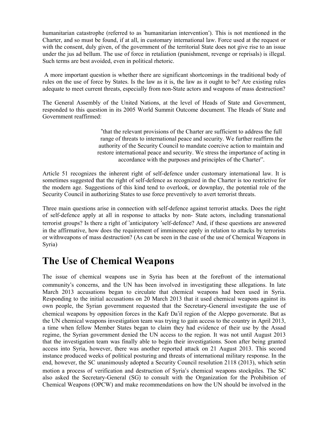humanitarian catastrophe (referred to as 'humanitarian intervention'). This is not mentioned in the Charter, and so must be found, if at all, in customary international law. Force used at the request or with the consent, duly given, of the government of the territorial State does not give rise to an issue under the jus ad bellum. The use of force in retaliation (punishment, revenge or reprisals) is illegal. Such terms are best avoided, even in political rhetoric.

 A more important question is whether there are significant shortcomings in the traditional body of rules on the use of force by States. Is the law as it is, the law as it ought to be? Are existing rules adequate to meet current threats, especially from non-State actors and weapons of mass destruction?

The General Assembly of the United Nations, at the level of Heads of State and Government, responded to this question in its 2005 World Summit Outcome document. The Heads of State and Government reaffirmed:

> "that the relevant provisions of the Charter are sufficient to address the full range of threats to international peace and security. We further reaffirm the authority of the Security Council to mandate coercive action to maintain and restore international peace and security. We stress the importance of acting in accordance with the purposes and principles of the Charter".

Article 51 recognizes the inherent right of self-defence under customary international law. It is sometimes suggested that the right of self-defence as recognized in the Charter is too restrictive for the modern age. Suggestions of this kind tend to overlook, or downplay, the potential role of the Security Council in authorizing States to use force preventively to avert terrorist threats.

Three main questions arise in connection with self-defence against terrorist attacks. Does the right of self-defence apply at all in response to attacks by non- State actors, including transnational terrorist groups? Is there a right of 'anticipatory 'self-defence? And, if these questions are answered in the affirmative, how does the requirement of imminence apply in relation to attacks by terrorists or withweapons of mass destruction? (As can be seen in the case of the use of Chemical Weapons in Syria)

### The Use of Chemical Weapons

The issue of chemical weapons use in Syria has been at the forefront of the international community's concerns, and the UN has been involved in investigating these allegations. In late March 2013 accusations began to circulate that chemical weapons had been used in Syria. Responding to the initial accusations on 20 March 2013 that it used chemical weapons against its own people, the Syrian government requested that the Secretary-General investigate the use of chemical weapons by opposition forces in the Kafr Da'il region of the Aleppo governorate. But as the UN chemical weapons investigation team was trying to gain access to the country in April 2013, a time when fellow Member States began to claim they had evidence of their use by the Assad regime, the Syrian government denied the UN access to the region. It was not until August 2013 that the investigation team was finally able to begin their investigations. Soon after being granted access into Syria, however, there was another reported attack on 21 August 2013. This second instance produced weeks of political posturing and threats of international military response. In the end, however, the SC unanimously adopted a Security Council resolution 2118 (2013), which setin motion a process of verification and destruction of Syria's chemical weapons stockpiles. The SC also asked the Secretary-General (SG) to consult with the Organization for the Prohibition of Chemical Weapons (OPCW) and make recommendations on how the UN should be involved in the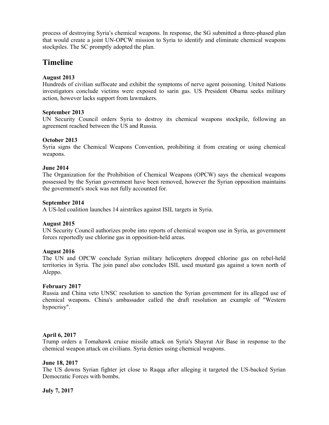process of destroying Syria's chemical weapons. In response, the SG submitted a three-phased plan that would create a joint UN-OPCW mission to Syria to identify and eliminate chemical weapons stockpiles. The SC promptly adopted the plan.

### **Timeline**

#### August 2013

Hundreds of civilian suffocate and exhibit the symptoms of nerve agent poisoning. United Nations investigators conclude victims were exposed to sarin gas. US President Obama seeks military action, however lacks support from lawmakers.

#### September 2013

UN Security Council orders Syria to destroy its chemical weapons stockpile, following an agreement reached between the US and Russia.

#### October 2013

Syria signs the Chemical Weapons Convention, prohibiting it from creating or using chemical weapons.

#### June 2014

The Organization for the Prohibition of Chemical Weapons (OPCW) says the chemical weapons possessed by the Syrian government have been removed, however the Syrian opposition maintains the government's stock was not fully accounted for.

#### September 2014

A US-led coalition launches 14 airstrikes against ISIL targets in Syria.

#### August 2015

UN Security Council authorizes probe into reports of chemical weapon use in Syria, as government forces reportedly use chlorine gas in opposition-held areas.

#### August 2016

The UN and OPCW conclude Syrian military helicopters dropped chlorine gas on rebel-held territories in Syria. The join panel also concludes ISIL used mustard gas against a town north of Aleppo.

#### February 2017

Russia and China veto UNSC resolution to sanction the Syrian government for its alleged use of chemical weapons. China's ambassador called the draft resolution an example of "Western hypocrisy".

#### April 6, 2017

Trump orders a Tomahawk cruise missile attack on Syria's Shayrat Air Base in response to the chemical weapon attack on civilians. Syria denies using chemical weapons.

#### June 18, 2017

The US downs Syrian fighter jet close to Raqqa after alleging it targeted the US-backed Syrian Democratic Forces with bombs.

July 7, 2017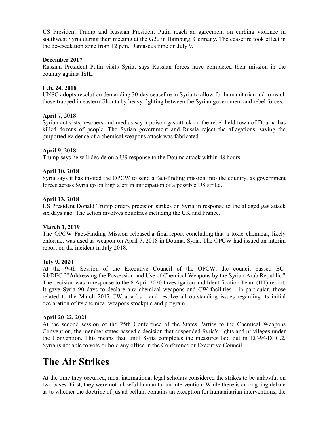US President Trump and Russian President Putin reach an agreement on curbing violence in southwest Syria during their meeting at the G20 in Hamburg, Germany. The ceasefire took effect in the de-escalation zone from 12 p.m. Damascus time on July 9.

#### December 2017

Russian President Putin visits Syria, says Russian forces have completed their mission in the country against ISIL.

#### Feb. 24, 2018

UNSC adopts resolution demanding 30-day ceasefire in Syria to allow for humanitarian aid to reach those trapped in eastern Ghouta by heavy fighting between the Syrian government and rebel forces.

#### April 7, 2018

Syrian activists, rescuers and medics say a poison gas attack on the rebel-held town of Douma has killed dozens of people. The Syrian government and Russia reject the allegations, saying the purported evidence of a chemical weapons attack was fabricated.

#### April 9, 2018

Trump says he will decide on a US response to the Douma attack within 48 hours.

#### April 10, 2018

Syria says it has invited the OPCW to send a fact-finding mission into the country, as government forces across Syria go on high alert in anticipation of a possible US strike.

#### April 13, 2018

US President Donald Trump orders precision strikes on Syria in response to the alleged gas attack six days ago. The action involves countries including the UK and France.

#### March 1, 2019

The OPCW Fact-Finding Mission released a final report concluding that a toxic chemical, likely chlorine, was used as weapon on April 7, 2018 in Douma, Syria. The OPCW had issued an interim report on the incident in July 2018.

#### July 9, 2020

At the 94th Session of the Executive Council of the OPCW, the council passed EC-94/DEC.2"Addressing the Possession and Use of Chemical Weapons by the Syrian Arab Republic." The decision was in response to the 8 April 2020 Investigation and Identification Team (IIT) report. It gave Syria 90 days to declare any chemical weapons and CW facilities - in particular, those related to the March 2017 CW attacks - and resolve all outstanding issues regarding its initial declaration of its chemical weapons stockpile and program.

#### April 20-22, 2021

At the second session of the 25th Conference of the States Parties to the Chemical Weapons Convention, the member states passed a decision that suspended Syria's rights and privileges under the Convention. This means that, until Syria completes the measures laid out in EC-94/DEC.2, Syria is not able to vote or hold any office in the Conference or Executive Council.

### The Air Strikes

At the time they occurred, most international legal scholars considered the strikes to be unlawful on two bases. First, they were not a lawful humanitarian intervention. While there is an ongoing debate as to whether the doctrine of jus ad bellum contains an exception for humanitarian interventions, the